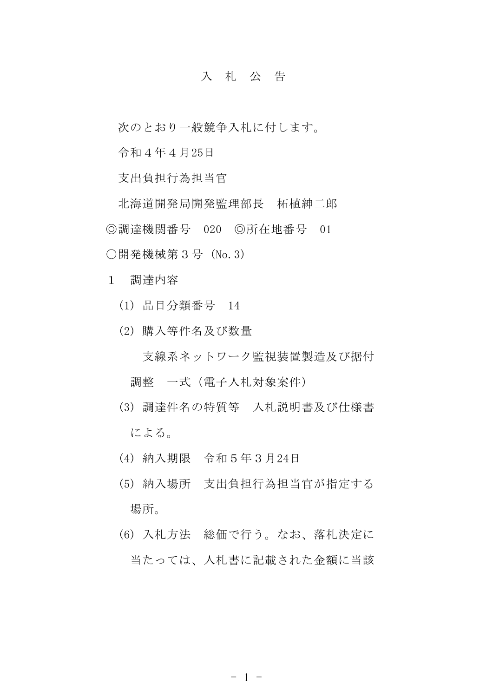## 入 札 公 告

次のとおり一般競争入札に付します。

令和4年4月25日

支出負担行為担当官

北海道開発局開発監理部長 柘植紳二郎 ◎調達機関番号 020 ◎所在地番号 01 〇開発機械第3号 (No.3)

1 調達内容

- (1) 品目分類番号 14
- (2) 購入等件名及び数量

支線系ネットワーク監視装置製造及び据付 調整 一式(電子入札対象案件)

- (3) 調達件名の特質等 入札説明書及び仕様書 による。
- (4) 納入期限 令和5年3月24日
- (5) 納入場所 支出負担行為担当官が指定する 場所。
- (6) 入札方法 総価で行う。なお、落札決定に 当たっては、入札書に記載された金額に当該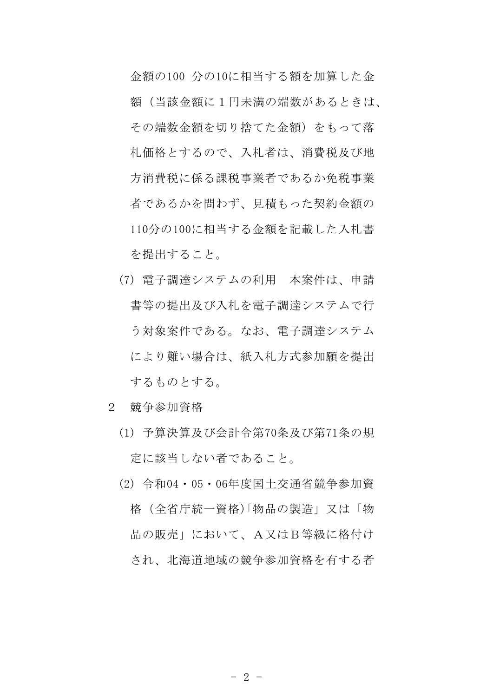金額の100 分の10に相当する額を加算した金 額(当該金額に1円未満の端数があるときは、 その端数金額を切り捨てた金額)をもって落 札価格とするので、入札者は、消費税及び地 方消費税に係る課税事業者であるか免税事業 者であるかを問わず、見積もった契約金額の 110分の100に相当する金額を記載した入札書 を提出すること。

- (7) 電子調達システムの利用 本案件は、申請 書等の提出及び入札を電子調達システムで行 う対象案件である。なお、電子調達システム により難い場合は、紙入札方式参加願を提出 するものとする。
- 2 競争参加資格
	- (1) 予算決算及び会計令第70条及び第71条の規 定に該当しない者であること。
	- (2) 令和04・05・06年度国土交通省競争参加資 格(全省庁統一資格)「物品の製造」又は「物 品の販売」において、A又はB等級に格付け され、北海道地域の競争参加資格を有する者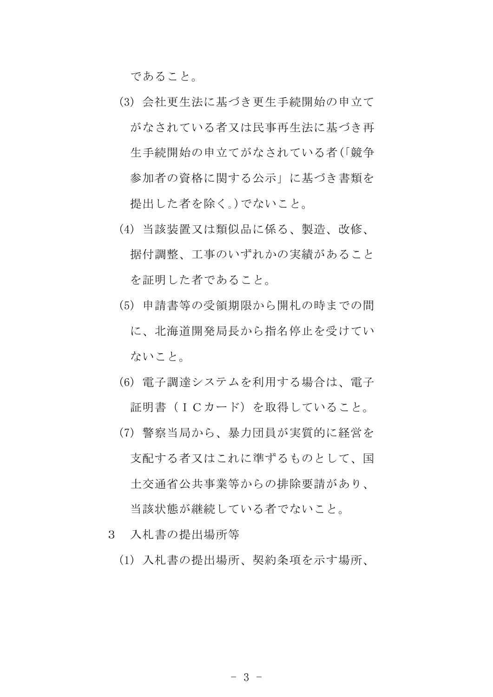であること。

- (3) 会社更生法に基づき更生手続開始の申立て がなされている者又は民事再生法に基づき再 生手続開始の申立てがなされている者(「競争 参加者の資格に関する公示」に基づき書類を 提出した者を除く。)でないこと。
- (4) 当該装置又は類似品に係る、製造、改修、 据付調整、工事のいずれかの実績があること を証明した者であること。
- (5) 申請書等の受領期限から開札の時までの間 に、北海道開発局長から指名停止を受けてい ないこと。
- (6) 電子調達システムを利用する場合は、電子 証明書(ICカード)を取得していること。
- (7) 警察当局から、暴力団員が実質的に経営を 支配する者又はこれに準ずるものとして、国 土交通省公共事業等からの排除要請があり、 当該状態が継続している者でないこと。
- 3 入札書の提出場所等
	- (1) 入札書の提出場所、契約条項を示す場所、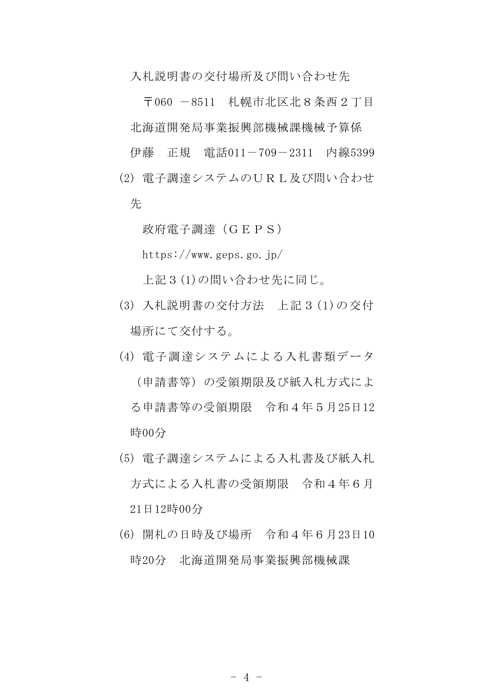入札説明書の交付場所及び問い合わせ先

〒060 -8511 札幌市北区北8条西2丁目 北海道開発局事業振興部機械課機械予算係

伊藤 正規 電話011-709-2311 内線5399

(2) 電子調達システムのURL及び問い合わせ 先

政府電子調達(GEPS)

https://www.geps.go.jp/

上記3(1)の問い合わせ先に同じ。

- (3) 入札説明書の交付方法 上記3(1)の交付 場所にて交付する。
- (4) 電子調達システムによる入札書類データ (申請書等)の受領期限及び紙入札方式によ る申請書等の受領期限 令和4年5月25日12 時00分
- (5) 電子調達システムによる入札書及び紙入札 方式による入札書の受領期限 令和4年6月 21日12時00分
- (6) 開札の日時及び場所 令和4年6月23日10 時20分 北海道開発局事業振興部機械課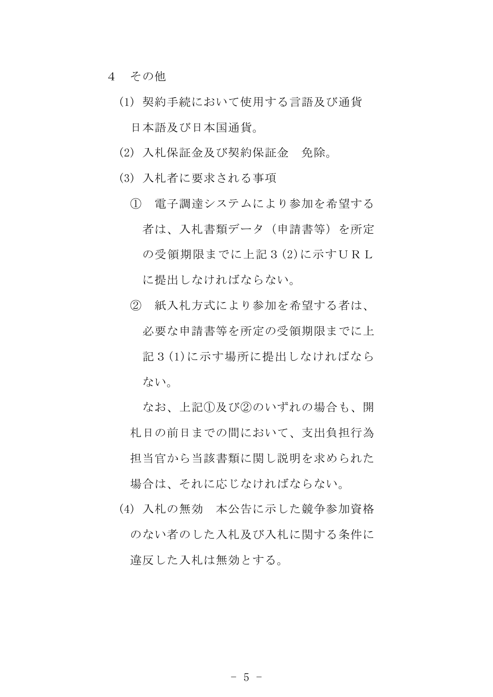- 4 その他
	- (1) 契約手続において使用する言語及び通貨 日本語及び日本国通貨。
	- (2) 入札保証金及び契約保証金 免除。
	- (3) 入札者に要求される事項
		- ① 電子調達システムにより参加を希望する 者は、入札書類データ(申請書等)を所定 の受領期限までに上記3(2)に示すURL に提出しなければならない。
		- ② 紙入札方式により参加を希望する者は、 必要な申請書等を所定の受領期限までに上 記3(1)に示す場所に提出しなければなら ない。

なお、上記①及び②のいずれの場合も、開 札日の前日までの間において、支出負担行為 担当官から当該書類に関し説明を求められた 場合は、それに応じなければならない。

(4) 入札の無効 本公告に示した競争参加資格 のない者のした入札及び入札に関する条件に 違反した入札は無効とする。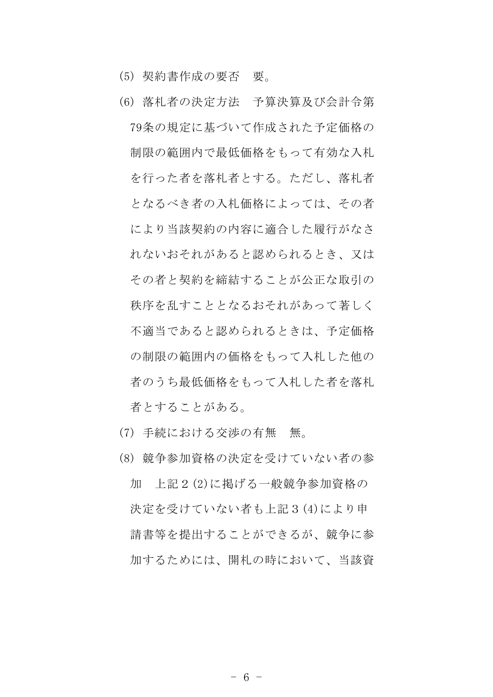- (5) 契約書作成の要否 要。
- (6) 落札者の決定方法 予算決算及び会計令第 79条の規定に基づいて作成された予定価格の 制限の範囲内で最低価格をもって有効な入札 を行った者を落札者とする。ただし、落札者 となるべき者の入札価格によっては、その者 により当該契約の内容に適合した履行がなさ れないおそれがあると認められるとき、又は その者と契約を締結することが公正な取引の 秩序を乱すこととなるおそれがあって著しく 不適当であると認められるときは、予定価格 の制限の範囲内の価格をもって入札した他の 者のうち最低価格をもって入札した者を落札 者とすることがある。
- (7) 手続における交渉の有無 無。
- (8) 競争参加資格の決定を受けていない者の参 加 上記2(2)に掲げる一般競争参加資格の 決定を受けていない者も上記3(4)により申 請書等を提出することができるが、競争に参 加するためには、開札の時において、当該資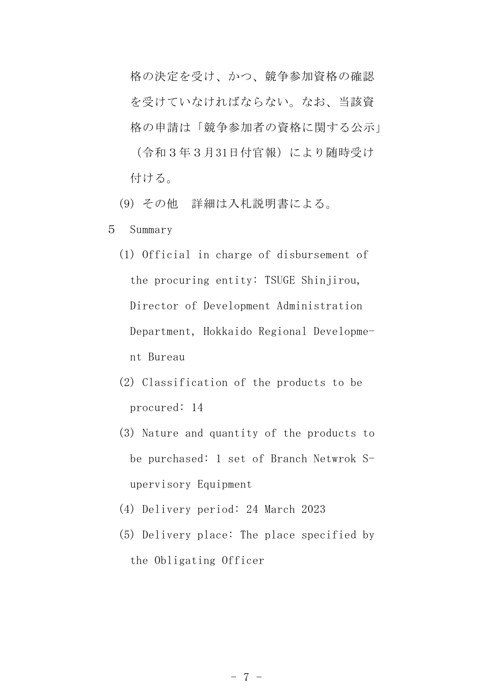格の決定を受け、かつ、競争参加資格の確認 を受けていなければならない。なお、当該資 格の申請は「競争参加者の資格に関する公示」 (令和3年3月31日付官報)により随時受け 付ける。

(9) その他 詳細は入札説明書による。

5 Summary

- (1) Official in charge of disbursement of the procuring entity: TSUGE Shinjirou, Director of Development Administration Department, Hokkaido Regional Development Bureau
- (2) Classification of the products to be procured: 14
- (3) Nature and quantity of the products to be purchased: 1 set of Branch Netwrok Supervisory Equipment
- (4) Delivery period: 24 March 2023
- (5) Delivery place: The place specified by the Obligating Officer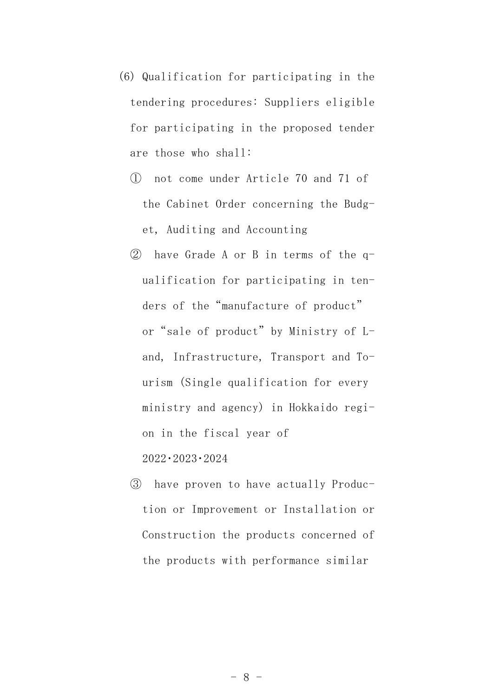- (6) Qualification for participating in the tendering procedures: Suppliers eligible for participating in the proposed tender are those who shall:
	- ① not come under Article 70 and 71 of the Cabinet Order concerning the Budget, Auditing and Accounting
	- ② have Grade A or B in terms of the qualification for participating in tenders of the"manufacture of product" or "sale of product" by Ministry of Land, Infrastructure, Transport and Tourism (Single qualification for every ministry and agency) in Hokkaido region in the fiscal year of 2022・2023・2024
	- ③ have proven to have actually Production or Improvement or Installation or Construction the products concerned of the products with performance similar